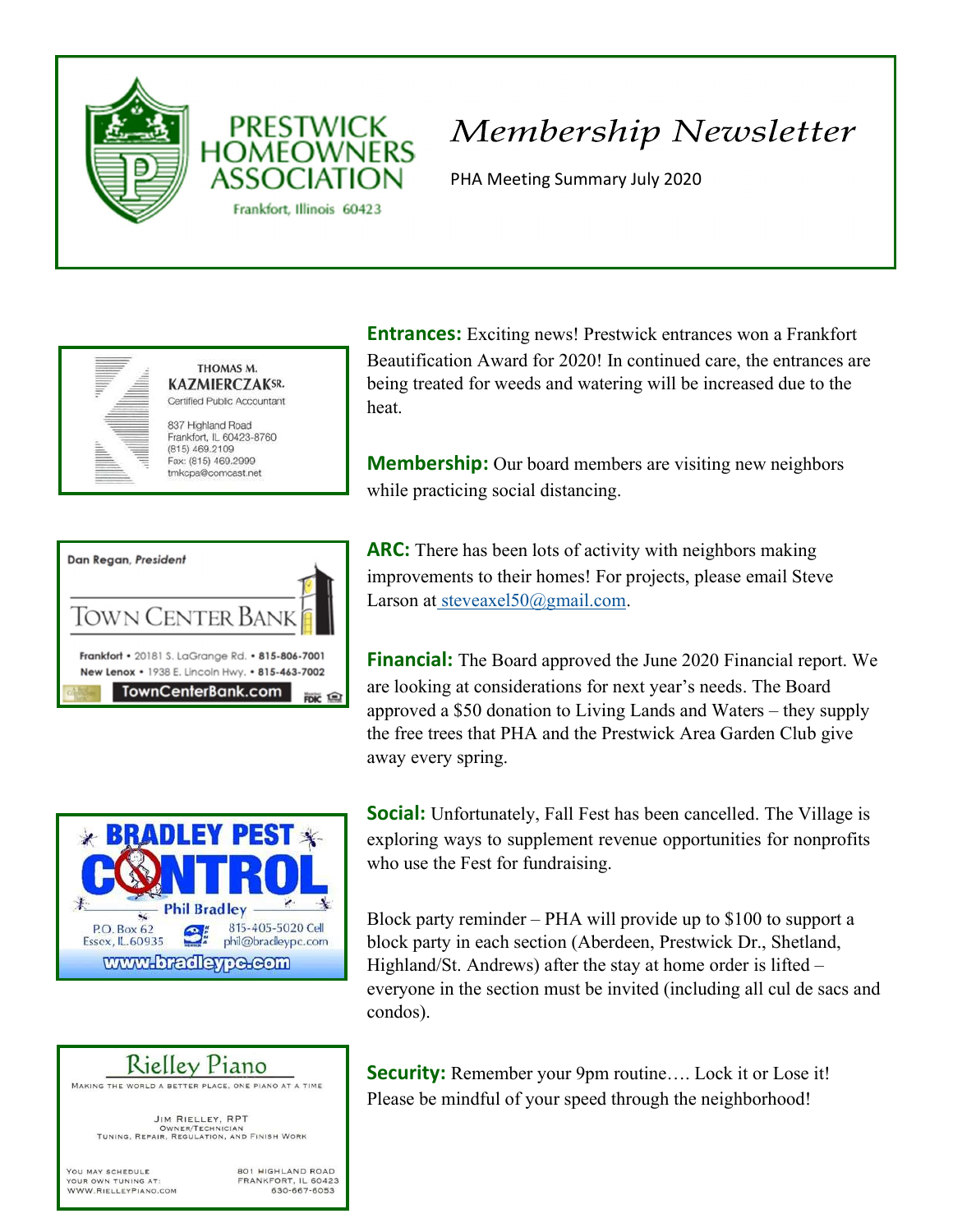



PHA Meeting Summary July 2020



THOMAS M. **KAZMIERCZAKSR.** Certified Public Accountant 837 Highland Road Frankfort, IL 60423-8760

**PRESTWICK** 

Frankfort, Illinois 60423

 $(815)$  469.2109 Fax: (815) 469.2999 tmkcpa@comcast.net

| Dan Regan, President                                                                                |  |
|-----------------------------------------------------------------------------------------------------|--|
| TOWN CENTER BANK                                                                                    |  |
| Frankfort • 20181 S. LaGrange Rd. • 815-806-7001<br>New Lenox • 1938 E. Lincoln Hwy. • 815-463-7002 |  |
| <b>TownCenterBank.com</b>                                                                           |  |

**Entrances:** Exciting news! Prestwick entrances won a Frankfort Beautification Award for 2020! In continued care, the entrances are being treated for weeds and watering will be increased due to the heat.

**Membership:** Our board members are visiting new neighbors while practicing social distancing.

ARC: There has been lots of activity with neighbors making improvements to their homes! For projects, please email Steve Larson at steveaxel50@gmail.com.

**Financial:** The Board approved the June 2020 Financial report. We are looking at considerations for next year's needs. The Board approved a \$50 donation to Living Lands and Waters – they supply the free trees that PHA and the Prestwick Area Garden Club give away every spring.



**Social:** Unfortunately, Fall Fest has been cancelled. The Village is exploring ways to supplement revenue opportunities for nonprofits who use the Fest for fundraising.

Block party reminder – PHA will provide up to \$100 to support a block party in each section (Aberdeen, Prestwick Dr., Shetland, Highland/St. Andrews) after the stay at home order is lifted – everyone in the section must be invited (including all cul de sacs and condos).

# Rielley Piano

MAKING THE WORLD A BETTER PLACE, ONE PIANO AT A TIME

JIM RIELLEY, RPT OWNER/TECHNICIAN<br>TUNING, REPAIR, REGULATION, AND FINISH WORK

YOU MAY SCHEDULE YOUR OWN TUNING AT: WWW.RIELLEYPIANO.COM 801 HIGHLAND ROAD FRANKFORT, IL 60423 630-667-6053

Security: Remember your 9pm routine.... Lock it or Lose it! Please be mindful of your speed through the neighborhood!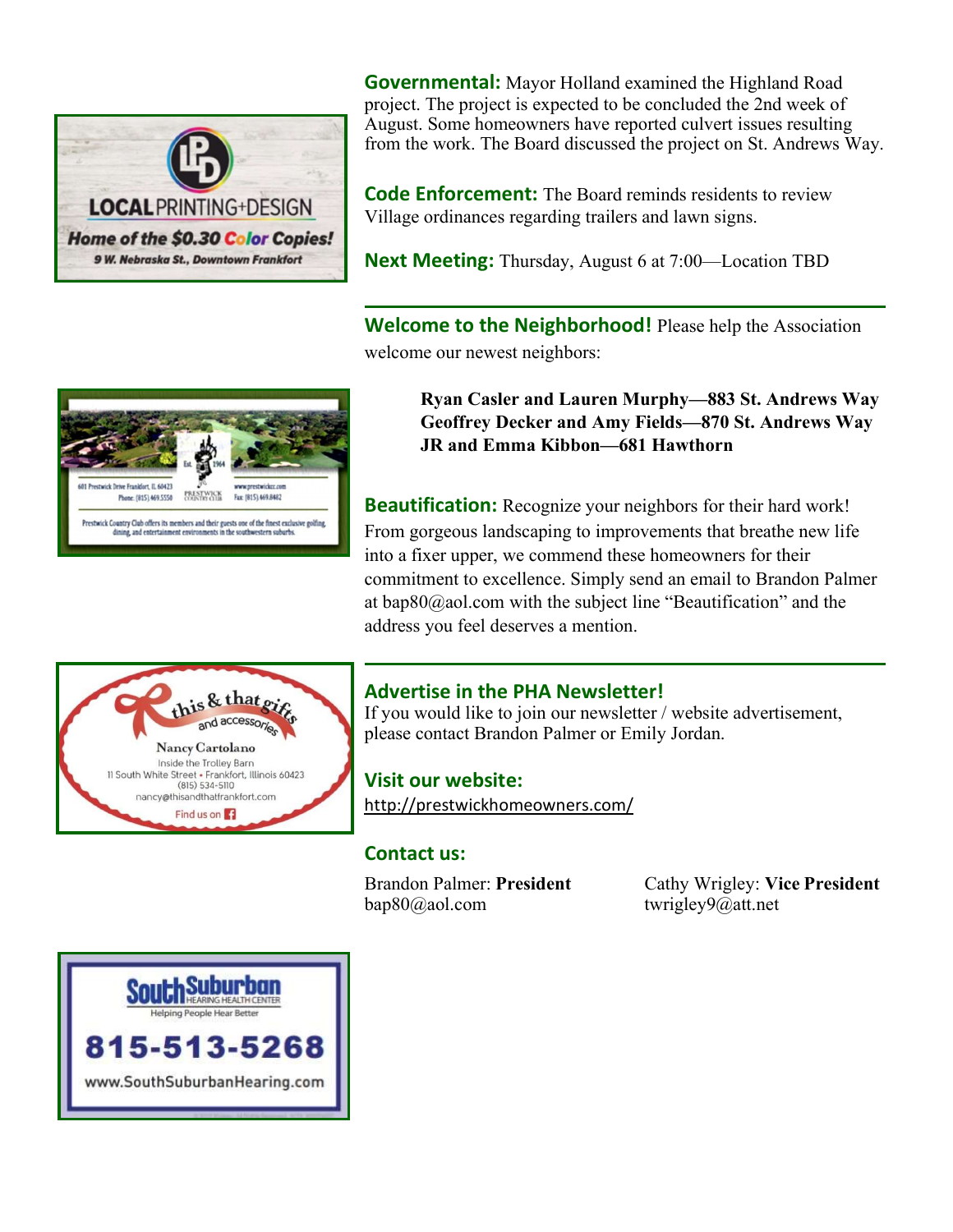

**Governmental:** Mayor Holland examined the Highland Road project. The project is expected to be concluded the 2nd week of August. Some homeowners have reported culvert issues resulting from the work. The Board discussed the project on St. Andrews Way.

**Code Enforcement:** The Board reminds residents to review Village ordinances regarding trailers and lawn signs.

**Next Meeting:** Thursday, August 6 at 7:00—Location TBD

Welcome to the Neighborhood! Please help the Association welcome our newest neighbors:



Ryan Casler and Lauren Murphy—883 St. Andrews Way Geoffrey Decker and Amy Fields—870 St. Andrews Way JR and Emma Kibbon—681 Hawthorn

**Beautification:** Recognize your neighbors for their hard work! From gorgeous landscaping to improvements that breathe new life into a fixer upper, we commend these homeowners for their commitment to excellence. Simply send an email to Brandon Palmer at bap80@aol.com with the subject line "Beautification" and the address you feel deserves a mention.



## Advertise in the PHA Newsletter!

If you would like to join our newsletter / website advertisement, please contact Brandon Palmer or Emily Jordan.

Visit our website: http://prestwickhomeowners.com/

#### Contact us:

bap80@aol.com twrigley9@att.net

Brandon Palmer: President Cathy Wrigley: Vice President